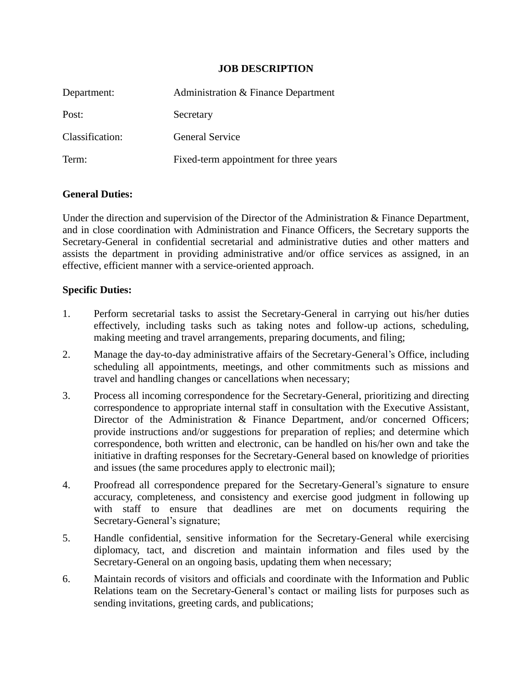## **JOB DESCRIPTION**

| Department:     | Administration & Finance Department    |
|-----------------|----------------------------------------|
| Post:           | Secretary                              |
| Classification: | <b>General Service</b>                 |
| Term:           | Fixed-term appointment for three years |

## **General Duties:**

Under the direction and supervision of the Director of the Administration & Finance Department, and in close coordination with Administration and Finance Officers, the Secretary supports the Secretary-General in confidential secretarial and administrative duties and other matters and assists the department in providing administrative and/or office services as assigned, in an effective, efficient manner with a service-oriented approach.

## **Specific Duties:**

- 1. Perform secretarial tasks to assist the Secretary-General in carrying out his/her duties effectively, including tasks such as taking notes and follow-up actions, scheduling, making meeting and travel arrangements, preparing documents, and filing;
- 2. Manage the day-to-day administrative affairs of the Secretary-General's Office, including scheduling all appointments, meetings, and other commitments such as missions and travel and handling changes or cancellations when necessary;
- 3. Process all incoming correspondence for the Secretary-General, prioritizing and directing correspondence to appropriate internal staff in consultation with the Executive Assistant, Director of the Administration & Finance Department, and/or concerned Officers; provide instructions and/or suggestions for preparation of replies; and determine which correspondence, both written and electronic, can be handled on his/her own and take the initiative in drafting responses for the Secretary-General based on knowledge of priorities and issues (the same procedures apply to electronic mail);
- 4. Proofread all correspondence prepared for the Secretary-General's signature to ensure accuracy, completeness, and consistency and exercise good judgment in following up with staff to ensure that deadlines are met on documents requiring the Secretary-General's signature;
- 5. Handle confidential, sensitive information for the Secretary-General while exercising diplomacy, tact, and discretion and maintain information and files used by the Secretary-General on an ongoing basis, updating them when necessary;
- 6. Maintain records of visitors and officials and coordinate with the Information and Public Relations team on the Secretary-General's contact or mailing lists for purposes such as sending invitations, greeting cards, and publications;